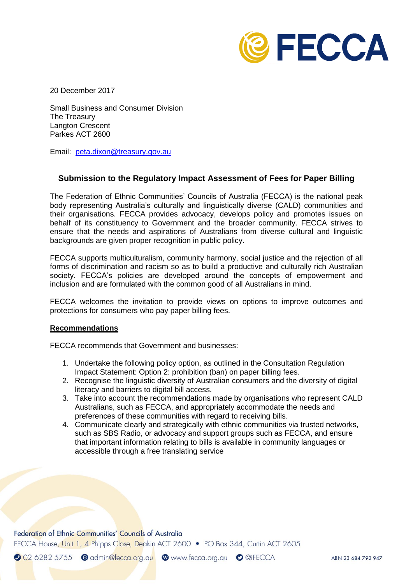

20 December 2017

Small Business and Consumer Division The Treasury Langton Crescent Parkes ACT 2600

Email: [peta.dixon@treasury.gov.au](mailto:peta.dixon@treasury.gov.au)

## **Submission to the Regulatory Impact Assessment of Fees for Paper Billing**

The Federation of Ethnic Communities' Councils of Australia (FECCA) is the national peak body representing Australia's culturally and linguistically diverse (CALD) communities and their organisations. FECCA provides advocacy, develops policy and promotes issues on behalf of its constituency to Government and the broader community. FECCA strives to ensure that the needs and aspirations of Australians from diverse cultural and linguistic backgrounds are given proper recognition in public policy.

FECCA supports multiculturalism, community harmony, social justice and the rejection of all forms of discrimination and racism so as to build a productive and culturally rich Australian society. FECCA's policies are developed around the concepts of empowerment and inclusion and are formulated with the common good of all Australians in mind.

FECCA welcomes the invitation to provide views on options to improve outcomes and protections for consumers who pay paper billing fees.

#### **Recommendations**

FECCA recommends that Government and businesses:

- 1. Undertake the following policy option, as outlined in the Consultation Regulation Impact Statement: Option 2: prohibition (ban) on paper billing fees.
- 2. Recognise the linguistic diversity of Australian consumers and the diversity of digital literacy and barriers to digital bill access.
- 3. Take into account the recommendations made by organisations who represent CALD Australians, such as FECCA, and appropriately accommodate the needs and preferences of these communities with regard to receiving bills.
- 4. Communicate clearly and strategically with ethnic communities via trusted networks, such as SBS Radio, or advocacy and support groups such as FECCA, and ensure that important information relating to bills is available in community languages or accessible through a free translating service

Federation of Ethnic Communities' Councils of Australia

FECCA House, Unit 1, 4 Phipps Close, Deakin ACT 2600 • PO Box 344, Curtin ACT 2605

2 02 6282 5755 e admin@fecca.org.au @www.fecca.org.au @@iFECCA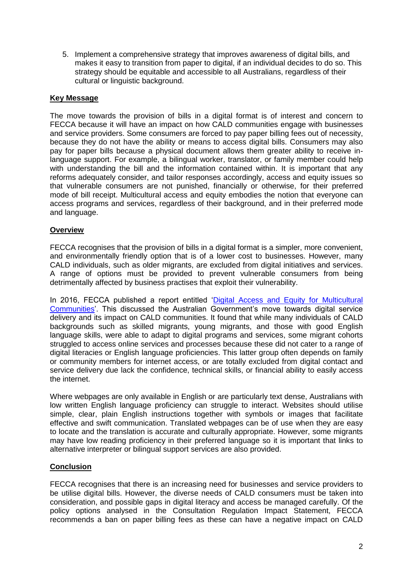5. Implement a comprehensive strategy that improves awareness of digital bills, and makes it easy to transition from paper to digital, if an individual decides to do so. This strategy should be equitable and accessible to all Australians, regardless of their cultural or linguistic background.

## **Key Message**

The move towards the provision of bills in a digital format is of interest and concern to FECCA because it will have an impact on how CALD communities engage with businesses and service providers. Some consumers are forced to pay paper billing fees out of necessity, because they do not have the ability or means to access digital bills. Consumers may also pay for paper bills because a physical document allows them greater ability to receive inlanguage support. For example, a bilingual worker, translator, or family member could help with understanding the bill and the information contained within. It is important that any reforms adequately consider, and tailor responses accordingly, access and equity issues so that vulnerable consumers are not punished, financially or otherwise, for their preferred mode of bill receipt. Multicultural access and equity embodies the notion that everyone can access programs and services, regardless of their background, and in their preferred mode and language.

## **Overview**

FECCA recognises that the provision of bills in a digital format is a simpler, more convenient, and environmentally friendly option that is of a lower cost to businesses. However, many CALD individuals, such as older migrants, are excluded from digital initiatives and services. A range of options must be provided to prevent vulnerable consumers from being detrimentally affected by business practises that exploit their vulnerability.

In 2016, FECCA published a report entitled 'Digital Access and Equity for Multicultural [Communities'](http://fecca.org.au/wp-content/uploads/2016/08/feccadigitalconsultationreport.pdf). This discussed the Australian Government's move towards digital service delivery and its impact on CALD communities. It found that while many individuals of CALD backgrounds such as skilled migrants, young migrants, and those with good English language skills, were able to adapt to digital programs and services, some migrant cohorts struggled to access online services and processes because these did not cater to a range of digital literacies or English language proficiencies. This latter group often depends on family or community members for internet access, or are totally excluded from digital contact and service delivery due lack the confidence, technical skills, or financial ability to easily access the internet.

Where webpages are only available in English or are particularly text dense, Australians with low written English language proficiency can struggle to interact. Websites should utilise simple, clear, plain English instructions together with symbols or images that facilitate effective and swift communication. Translated webpages can be of use when they are easy to locate and the translation is accurate and culturally appropriate. However, some migrants may have low reading proficiency in their preferred language so it is important that links to alternative interpreter or bilingual support services are also provided.

# **Conclusion**

FECCA recognises that there is an increasing need for businesses and service providers to be utilise digital bills. However, the diverse needs of CALD consumers must be taken into consideration, and possible gaps in digital literacy and access be managed carefully. Of the policy options analysed in the Consultation Regulation Impact Statement, FECCA recommends a ban on paper billing fees as these can have a negative impact on CALD